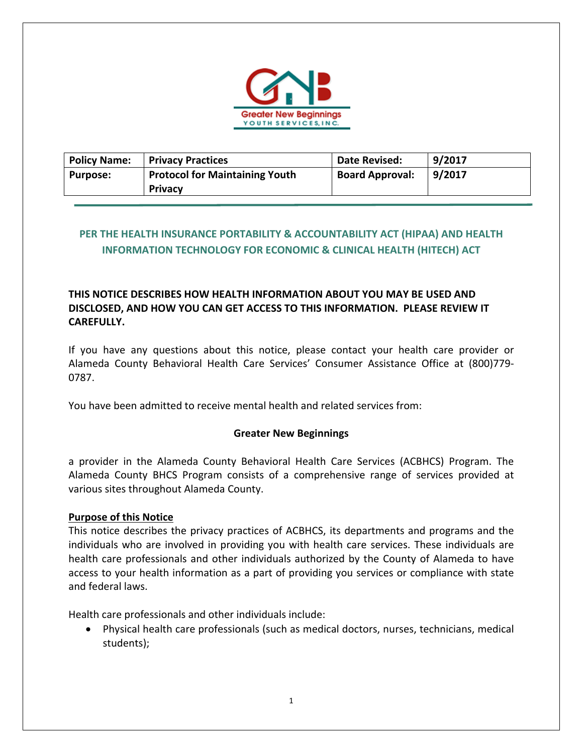

| <b>Policy Name:</b> | <b>Privacy Practices</b>              | <b>Date Revised:</b>   | 9/2017 |
|---------------------|---------------------------------------|------------------------|--------|
| <b>Purpose:</b>     | <b>Protocol for Maintaining Youth</b> | <b>Board Approval:</b> | 9/2017 |
|                     | <b>Privacy</b>                        |                        |        |

# **PER THE HEALTH INSURANCE PORTABILITY & ACCOUNTABILITY ACT (HIPAA) AND HEALTH INFORMATION TECHNOLOGY FOR ECONOMIC & CLINICAL HEALTH (HITECH) ACT**

## **THIS NOTICE DESCRIBES HOW HEALTH INFORMATION ABOUT YOU MAY BE USED AND DISCLOSED, AND HOW YOU CAN GET ACCESS TO THIS INFORMATION. PLEASE REVIEW IT CAREFULLY.**

If you have any questions about this notice, please contact your health care provider or Alameda County Behavioral Health Care Services' Consumer Assistance Office at (800)779‐ 0787.

You have been admitted to receive mental health and related services from:

## **Greater New Beginnings**

a provider in the Alameda County Behavioral Health Care Services (ACBHCS) Program. The Alameda County BHCS Program consists of a comprehensive range of services provided at various sites throughout Alameda County.

## **Purpose of this Notice**

This notice describes the privacy practices of ACBHCS, its departments and programs and the individuals who are involved in providing you with health care services. These individuals are health care professionals and other individuals authorized by the County of Alameda to have access to your health information as a part of providing you services or compliance with state and federal laws.

Health care professionals and other individuals include:

 Physical health care professionals (such as medical doctors, nurses, technicians, medical students);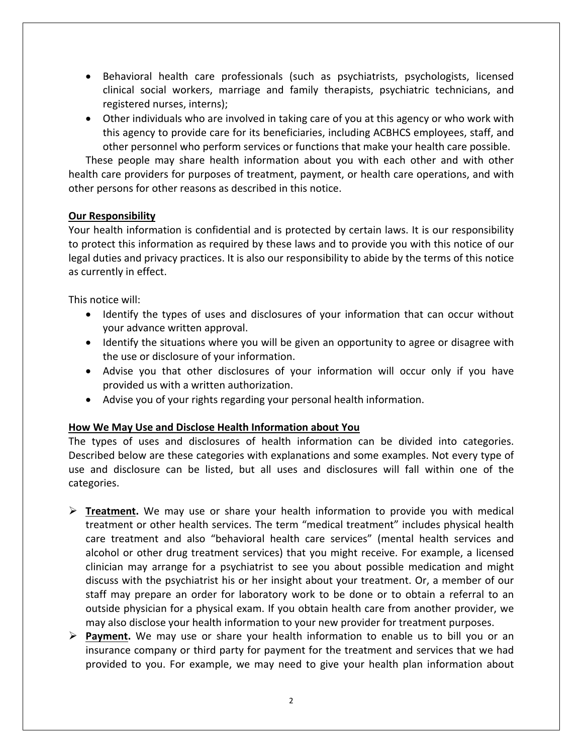- Behavioral health care professionals (such as psychiatrists, psychologists, licensed clinical social workers, marriage and family therapists, psychiatric technicians, and registered nurses, interns);
- Other individuals who are involved in taking care of you at this agency or who work with this agency to provide care for its beneficiaries, including ACBHCS employees, staff, and other personnel who perform services or functions that make your health care possible.

These people may share health information about you with each other and with other health care providers for purposes of treatment, payment, or health care operations, and with other persons for other reasons as described in this notice.

## **Our Responsibility**

Your health information is confidential and is protected by certain laws. It is our responsibility to protect this information as required by these laws and to provide you with this notice of our legal duties and privacy practices. It is also our responsibility to abide by the terms of this notice as currently in effect.

This notice will:

- Identify the types of uses and disclosures of your information that can occur without your advance written approval.
- Identify the situations where you will be given an opportunity to agree or disagree with the use or disclosure of your information.
- Advise you that other disclosures of your information will occur only if you have provided us with a written authorization.
- Advise you of your rights regarding your personal health information.

## **How We May Use and Disclose Health Information about You**

The types of uses and disclosures of health information can be divided into categories. Described below are these categories with explanations and some examples. Not every type of use and disclosure can be listed, but all uses and disclosures will fall within one of the categories.

- $\triangleright$  **Treatment.** We may use or share your health information to provide you with medical treatment or other health services. The term "medical treatment" includes physical health care treatment and also "behavioral health care services" (mental health services and alcohol or other drug treatment services) that you might receive. For example, a licensed clinician may arrange for a psychiatrist to see you about possible medication and might discuss with the psychiatrist his or her insight about your treatment. Or, a member of our staff may prepare an order for laboratory work to be done or to obtain a referral to an outside physician for a physical exam. If you obtain health care from another provider, we may also disclose your health information to your new provider for treatment purposes.
- **Payment.** We may use or share your health information to enable us to bill you or an insurance company or third party for payment for the treatment and services that we had provided to you. For example, we may need to give your health plan information about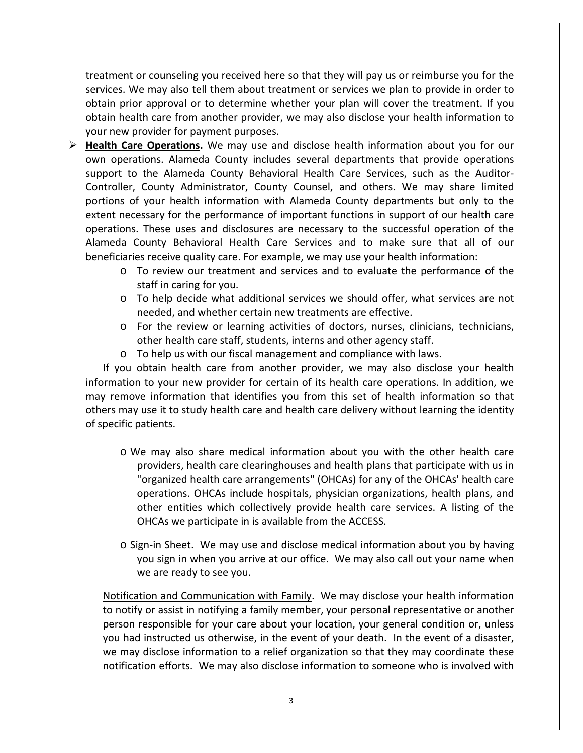treatment or counseling you received here so that they will pay us or reimburse you for the services. We may also tell them about treatment or services we plan to provide in order to obtain prior approval or to determine whether your plan will cover the treatment. If you obtain health care from another provider, we may also disclose your health information to your new provider for payment purposes.

- **► Health Care Operations.** We may use and disclose health information about you for our own operations. Alameda County includes several departments that provide operations support to the Alameda County Behavioral Health Care Services, such as the Auditor-Controller, County Administrator, County Counsel, and others. We may share limited portions of your health information with Alameda County departments but only to the extent necessary for the performance of important functions in support of our health care operations. These uses and disclosures are necessary to the successful operation of the Alameda County Behavioral Health Care Services and to make sure that all of our beneficiaries receive quality care. For example, we may use your health information:
	- o To review our treatment and services and to evaluate the performance of the staff in caring for you.
	- $\circ$  To help decide what additional services we should offer, what services are not needed, and whether certain new treatments are effective.
	- o For the review or learning activities of doctors, nurses, clinicians, technicians, other health care staff, students, interns and other agency staff.
	- o To help us with our fiscal management and compliance with laws.

 If you obtain health care from another provider, we may also disclose your health information to your new provider for certain of its health care operations. In addition, we may remove information that identifies you from this set of health information so that others may use it to study health care and health care delivery without learning the identity of specific patients.

- o We may also share medical information about you with the other health care providers, health care clearinghouses and health plans that participate with us in "organized health care arrangements" (OHCAs) for any of the OHCAs' health care operations. OHCAs include hospitals, physician organizations, health plans, and other entities which collectively provide health care services. A listing of the OHCAs we participate in is available from the ACCESS.
- $\circ$  Sign-in Sheet. We may use and disclose medical information about you by having you sign in when you arrive at our office. We may also call out your name when we are ready to see you.

Notification and Communication with Family. We may disclose your health information to notify or assist in notifying a family member, your personal representative or another person responsible for your care about your location, your general condition or, unless you had instructed us otherwise, in the event of your death. In the event of a disaster, we may disclose information to a relief organization so that they may coordinate these notification efforts. We may also disclose information to someone who is involved with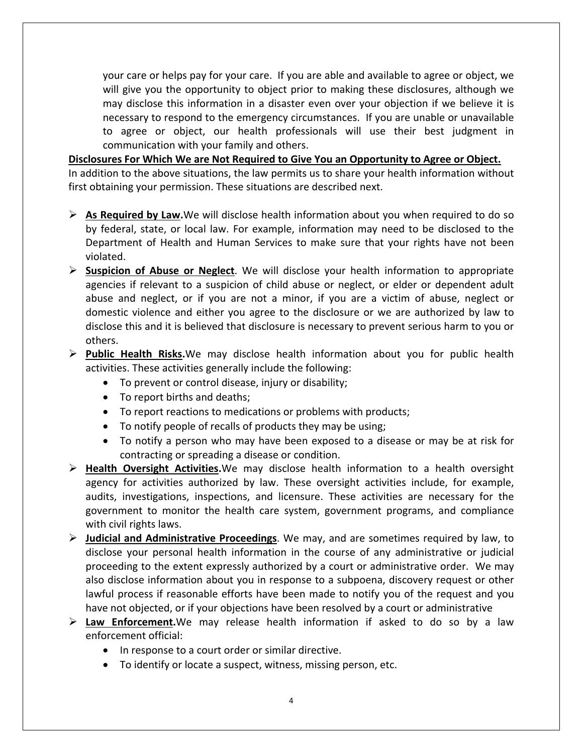your care or helps pay for your care. If you are able and available to agree or object, we will give you the opportunity to object prior to making these disclosures, although we may disclose this information in a disaster even over your objection if we believe it is necessary to respond to the emergency circumstances. If you are unable or unavailable to agree or object, our health professionals will use their best judgment in communication with your family and others.

**Disclosures For Which We are Not Required to Give You an Opportunity to Agree or Object.** In addition to the above situations, the law permits us to share your health information without first obtaining your permission. These situations are described next.

- **As Required by Law.**We will disclose health information about you when required to do so by federal, state, or local law. For example, information may need to be disclosed to the Department of Health and Human Services to make sure that your rights have not been violated.
- **Suspicion of Abuse or Neglect**. We will disclose your health information to appropriate agencies if relevant to a suspicion of child abuse or neglect, or elder or dependent adult abuse and neglect, or if you are not a minor, if you are a victim of abuse, neglect or domestic violence and either you agree to the disclosure or we are authorized by law to disclose this and it is believed that disclosure is necessary to prevent serious harm to you or others.
- **Public Health Risks.**We may disclose health information about you for public health activities. These activities generally include the following:
	- To prevent or control disease, injury or disability;
	- To report births and deaths;
	- To report reactions to medications or problems with products;
	- To notify people of recalls of products they may be using;
	- To notify a person who may have been exposed to a disease or may be at risk for contracting or spreading a disease or condition.
- **Health Oversight Activities.**We may disclose health information to a health oversight agency for activities authorized by law. These oversight activities include, for example, audits, investigations, inspections, and licensure. These activities are necessary for the government to monitor the health care system, government programs, and compliance with civil rights laws.
- **Judicial and Administrative Proceedings**. We may, and are sometimes required by law, to disclose your personal health information in the course of any administrative or judicial proceeding to the extent expressly authorized by a court or administrative order. We may also disclose information about you in response to a subpoena, discovery request or other lawful process if reasonable efforts have been made to notify you of the request and you have not objected, or if your objections have been resolved by a court or administrative
- **Law Enforcement.**We may release health information if asked to do so by a law enforcement official:
	- In response to a court order or similar directive.
	- To identify or locate a suspect, witness, missing person, etc.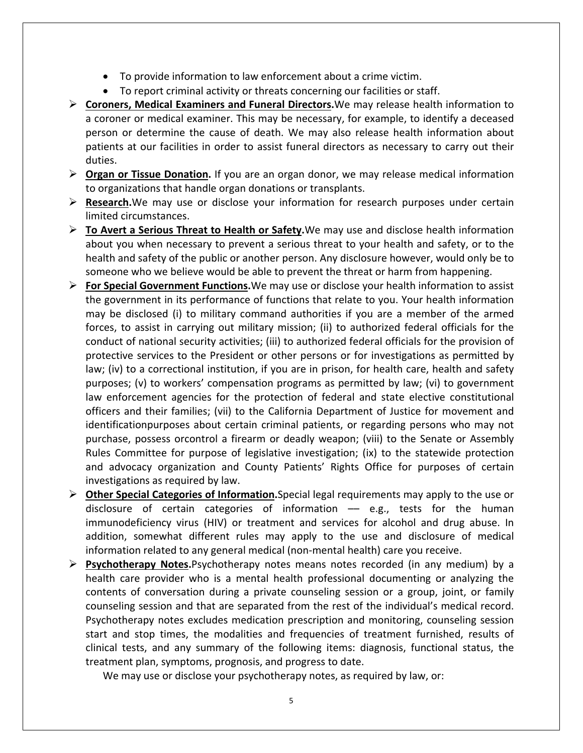- To provide information to law enforcement about a crime victim.
- To report criminal activity or threats concerning our facilities or staff.
- **Coroners, Medical Examiners and Funeral Directors.**We may release health information to a coroner or medical examiner. This may be necessary, for example, to identify a deceased person or determine the cause of death. We may also release health information about patients at our facilities in order to assist funeral directors as necessary to carry out their duties.
- **Organ or Tissue Donation.** If you are an organ donor, we may release medical information to organizations that handle organ donations or transplants.
- **EXE** Research. We may use or disclose your information for research purposes under certain limited circumstances.
- **To Avert a Serious Threat to Health or Safety.**We may use and disclose health information about you when necessary to prevent a serious threat to your health and safety, or to the health and safety of the public or another person. Any disclosure however, would only be to someone who we believe would be able to prevent the threat or harm from happening.
- **For Special Government Functions.**We may use or disclose your health information to assist the government in its performance of functions that relate to you. Your health information may be disclosed (i) to military command authorities if you are a member of the armed forces, to assist in carrying out military mission; (ii) to authorized federal officials for the conduct of national security activities; (iii) to authorized federal officials for the provision of protective services to the President or other persons or for investigations as permitted by law; (iv) to a correctional institution, if you are in prison, for health care, health and safety purposes; (v) to workers' compensation programs as permitted by law; (vi) to government law enforcement agencies for the protection of federal and state elective constitutional officers and their families; (vii) to the California Department of Justice for movement and identificationpurposes about certain criminal patients, or regarding persons who may not purchase, possess orcontrol a firearm or deadly weapon; (viii) to the Senate or Assembly Rules Committee for purpose of legislative investigation; (ix) to the statewide protection and advocacy organization and County Patients' Rights Office for purposes of certain investigations as required by law.
- **Other Special Categories of Information.**Special legal requirements may apply to the use or disclosure of certain categories of information –– e.g., tests for the human immunodeficiency virus (HIV) or treatment and services for alcohol and drug abuse. In addition, somewhat different rules may apply to the use and disclosure of medical information related to any general medical (non‐mental health) care you receive.
- **Psychotherapy Notes.**Psychotherapy notes means notes recorded (in any medium) by a health care provider who is a mental health professional documenting or analyzing the contents of conversation during a private counseling session or a group, joint, or family counseling session and that are separated from the rest of the individual's medical record. Psychotherapy notes excludes medication prescription and monitoring, counseling session start and stop times, the modalities and frequencies of treatment furnished, results of clinical tests, and any summary of the following items: diagnosis, functional status, the treatment plan, symptoms, prognosis, and progress to date.

We may use or disclose your psychotherapy notes, as required by law, or: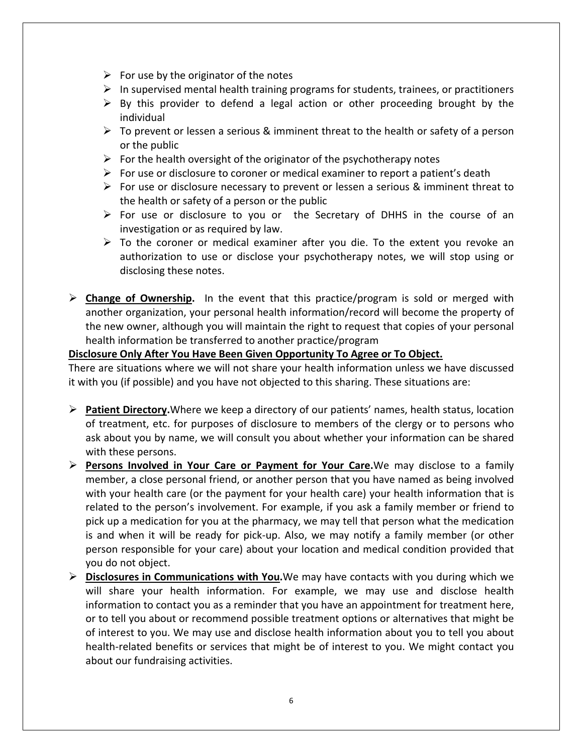- $\triangleright$  For use by the originator of the notes
- $\triangleright$  In supervised mental health training programs for students, trainees, or practitioners
- $\triangleright$  By this provider to defend a legal action or other proceeding brought by the individual
- $\triangleright$  To prevent or lessen a serious & imminent threat to the health or safety of a person or the public
- $\triangleright$  For the health oversight of the originator of the psychotherapy notes
- $\triangleright$  For use or disclosure to coroner or medical examiner to report a patient's death
- For use or disclosure necessary to prevent or lessen a serious  $\&$  imminent threat to the health or safety of a person or the public
- $\triangleright$  For use or disclosure to you or the Secretary of DHHS in the course of an investigation or as required by law.
- $\triangleright$  To the coroner or medical examiner after you die. To the extent you revoke an authorization to use or disclose your psychotherapy notes, we will stop using or disclosing these notes.
- **Example 5 > Change of Ownership.** In the event that this practice/program is sold or merged with another organization, your personal health information/record will become the property of the new owner, although you will maintain the right to request that copies of your personal health information be transferred to another practice/program

## **Disclosure Only After You Have Been Given Opportunity To Agree or To Object.**

There are situations where we will not share your health information unless we have discussed it with you (if possible) and you have not objected to this sharing. These situations are:

- **Patient Directory.**Where we keep a directory of our patients' names, health status, location of treatment, etc. for purposes of disclosure to members of the clergy or to persons who ask about you by name, we will consult you about whether your information can be shared with these persons.
- Persons Involved in Your Care or Payment for Your Care. We may disclose to a family member, a close personal friend, or another person that you have named as being involved with your health care (or the payment for your health care) your health information that is related to the person's involvement. For example, if you ask a family member or friend to pick up a medication for you at the pharmacy, we may tell that person what the medication is and when it will be ready for pick‐up. Also, we may notify a family member (or other person responsible for your care) about your location and medical condition provided that you do not object.
- **Disclosures in Communications with You.**We may have contacts with you during which we will share your health information. For example, we may use and disclose health information to contact you as a reminder that you have an appointment for treatment here, or to tell you about or recommend possible treatment options or alternatives that might be of interest to you. We may use and disclose health information about you to tell you about health-related benefits or services that might be of interest to you. We might contact you about our fundraising activities.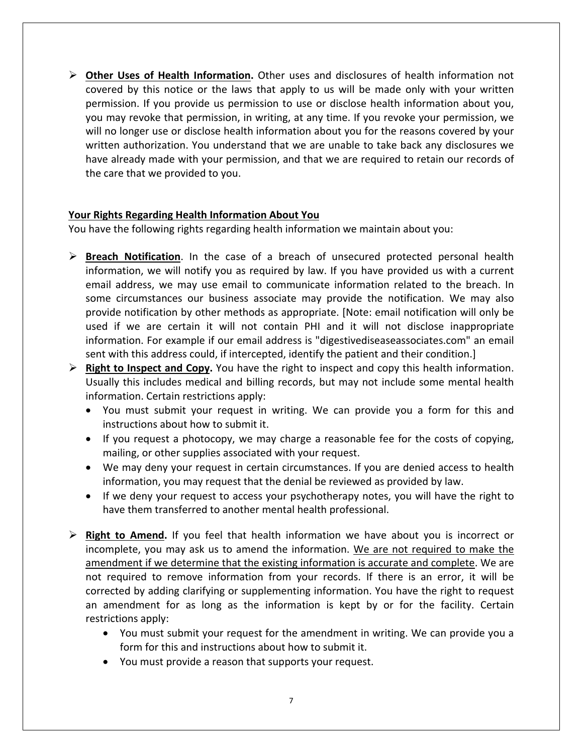**Other Uses of Health Information.** Other uses and disclosures of health information not covered by this notice or the laws that apply to us will be made only with your written permission. If you provide us permission to use or disclose health information about you, you may revoke that permission, in writing, at any time. If you revoke your permission, we will no longer use or disclose health information about you for the reasons covered by your written authorization. You understand that we are unable to take back any disclosures we have already made with your permission, and that we are required to retain our records of the care that we provided to you.

## **Your Rights Regarding Health Information About You**

You have the following rights regarding health information we maintain about you:

- **Exercial Find Times III The Take Times is the Case of a breach of unsecured protected personal health** information, we will notify you as required by law. If you have provided us with a current email address, we may use email to communicate information related to the breach. In some circumstances our business associate may provide the notification. We may also provide notification by other methods as appropriate. [Note: email notification will only be used if we are certain it will not contain PHI and it will not disclose inappropriate information. For example if our email address is "digestivediseaseassociates.com" an email sent with this address could, if intercepted, identify the patient and their condition.]
- **Right to Inspect and Copy.** You have the right to inspect and copy this health information. Usually this includes medical and billing records, but may not include some mental health information. Certain restrictions apply:
	- You must submit your request in writing. We can provide you a form for this and instructions about how to submit it.
	- If you request a photocopy, we may charge a reasonable fee for the costs of copying, mailing, or other supplies associated with your request.
	- We may deny your request in certain circumstances. If you are denied access to health information, you may request that the denial be reviewed as provided by law.
	- If we deny your request to access your psychotherapy notes, you will have the right to have them transferred to another mental health professional.
- **Example 13 Kight to Amend.** If you feel that health information we have about you is incorrect or incomplete, you may ask us to amend the information. We are not required to make the amendment if we determine that the existing information is accurate and complete. We are not required to remove information from your records. If there is an error, it will be corrected by adding clarifying or supplementing information. You have the right to request an amendment for as long as the information is kept by or for the facility. Certain restrictions apply:
	- You must submit your request for the amendment in writing. We can provide you a form for this and instructions about how to submit it.
	- You must provide a reason that supports your request.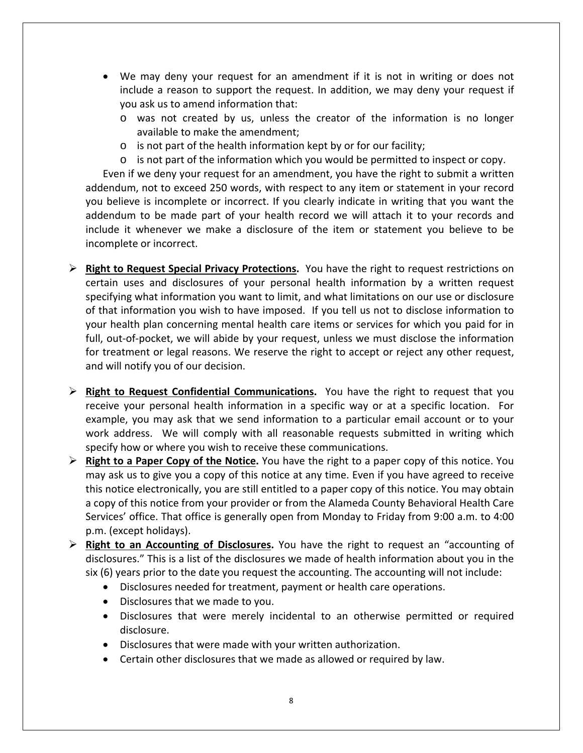- We may deny your request for an amendment if it is not in writing or does not include a reason to support the request. In addition, we may deny your request if you ask us to amend information that:
	- o was not created by us, unless the creator of the information is no longer available to make the amendment;
	- o is not part of the health information kept by or for our facility;
	- $\circ$  is not part of the information which you would be permitted to inspect or copy.

 Even if we deny your request for an amendment, you have the right to submit a written addendum, not to exceed 250 words, with respect to any item or statement in your record you believe is incomplete or incorrect. If you clearly indicate in writing that you want the addendum to be made part of your health record we will attach it to your records and include it whenever we make a disclosure of the item or statement you believe to be incomplete or incorrect.

- **Right to Request Special Privacy Protections.** You have the right to request restrictions on certain uses and disclosures of your personal health information by a written request specifying what information you want to limit, and what limitations on our use or disclosure of that information you wish to have imposed. If you tell us not to disclose information to your health plan concerning mental health care items or services for which you paid for in full, out‐of‐pocket, we will abide by your request, unless we must disclose the information for treatment or legal reasons. We reserve the right to accept or reject any other request, and will notify you of our decision.
- **EXECT AT A Right to Request Confidential Communications.** You have the right to request that you receive your personal health information in a specific way or at a specific location. For example, you may ask that we send information to a particular email account or to your work address. We will comply with all reasonable requests submitted in writing which specify how or where you wish to receive these communications.
- **Right to a Paper Copy of the Notice.** You have the right to a paper copy of this notice. You may ask us to give you a copy of this notice at any time. Even if you have agreed to receive this notice electronically, you are still entitled to a paper copy of this notice. You may obtain a copy of this notice from your provider or from the Alameda County Behavioral Health Care Services' office. That office is generally open from Monday to Friday from 9:00 a.m. to 4:00 p.m. (except holidays).
- **Right to an Accounting of Disclosures.** You have the right to request an "accounting of disclosures." This is a list of the disclosures we made of health information about you in the six (6) years prior to the date you request the accounting. The accounting will not include:
	- Disclosures needed for treatment, payment or health care operations.
	- Disclosures that we made to you.
	- Disclosures that were merely incidental to an otherwise permitted or required disclosure.
	- Disclosures that were made with your written authorization.
	- Certain other disclosures that we made as allowed or required by law.